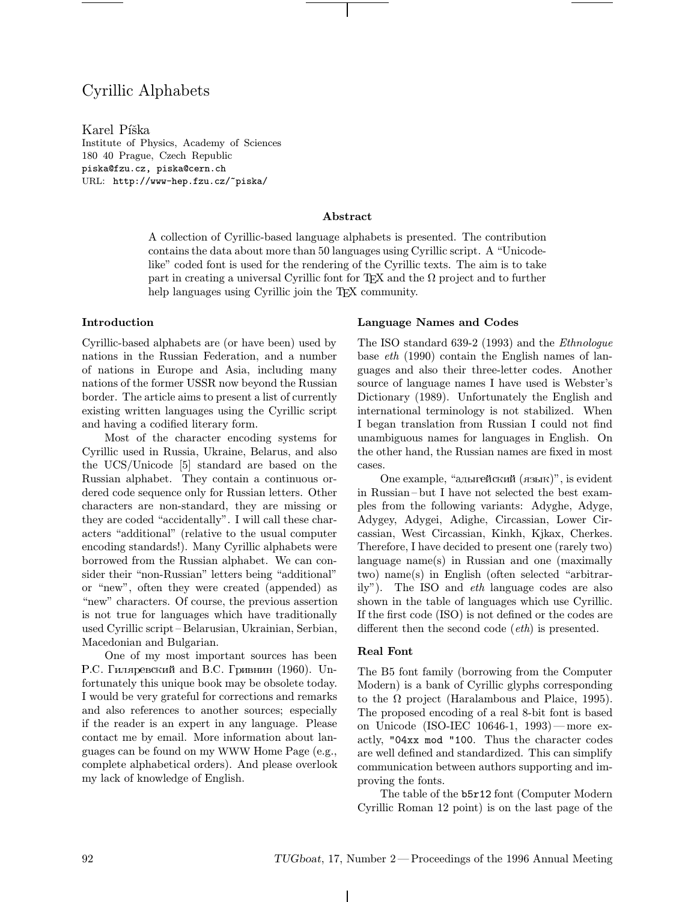# Cyrillic Alphabets

Karel Píška Institute of Physics, Academy of Sciences 180 40 Prague, Czech Republic piska@fzu.cz, piska@cern.ch URL: http://www-hep.fzu.cz/~piska/

#### Abstract

A collection of Cyrillic-based language alphabets is presented. The contribution contains the data about more than 50 languages using Cyrillic script. A "Unicodelike" coded font is used for the rendering of the Cyrillic texts. The aim is to take part in creating a universal Cyrillic font for TEX and the  $\Omega$  project and to further help languages using Cyrillic join the TFX community.

# Introduction

Cyrillic-based alphabets are (or have been) used by nations in the Russian Federation, and a number of nations in Europe and Asia, including many nations of the former USSR now beyond the Russian border. The article aims to present a list of currently existing written languages using the Cyrillic script and having a codified literary form.

Most of the character encoding systems for Cyrillic used in Russia, Ukraine, Belarus, and also the UCS/Unicode [5] standard are based on the Russian alphabet. They contain a continuous ordered code sequence only for Russian letters. Other characters are non-standard, they are missing or they are coded "accidentally". I will call these characters "additional" (relative to the usual computer encoding standards!). Many Cyrillic alphabets were borrowed from the Russian alphabet. We can consider their "non-Russian" letters being "additional" or "new", often they were created (appended) as "new" characters. Of course, the previous assertion is not true for languages which have traditionally used Cyrillic script– Belarusian, Ukrainian, Serbian, Macedonian and Bulgarian.

One of my most important sources has been Р.С. Гиляревский and В.С. Гривнин (1960). Unfortunately this unique book may be obsolete today. I would be very grateful for corrections and remarks and also references to another sources; especially if the reader is an expert in any language. Please contact me by email. More information about languages can be found on my WWW Home Page (e.g., complete alphabetical orders). And please overlook my lack of knowledge of English.

# Language Names and Codes

The ISO standard 639-2 (1993) and the Ethnologue base eth (1990) contain the English names of languages and also their three-letter codes. Another source of language names I have used is Webster's Dictionary (1989). Unfortunately the English and international terminology is not stabilized. When I began translation from Russian I could not find unambiguous names for languages in English. On the other hand, the Russian names are fixed in most cases.

One example, "адыгейский  $(\text{a}3\text{b}1\text{c})$ ", is evident in Russian–but I have not selected the best examples from the following variants: Adyghe, Adyge, Adygey, Adygei, Adighe, Circassian, Lower Circassian, West Circassian, Kinkh, Kjkax, Cherkes. Therefore, I have decided to present one (rarely two) language name(s) in Russian and one (maximally two) name(s) in English (often selected "arbitrarily"). The ISO and eth language codes are also shown in the table of languages which use Cyrillic. If the first code (ISO) is not defined or the codes are different then the second code *(eth)* is presented.

#### Real Font

The B5 font family (borrowing from the Computer Modern) is a bank of Cyrillic glyphs corresponding to the  $\Omega$  project (Haralambous and Plaice, 1995). The proposed encoding of a real 8-bit font is based on Unicode (ISO-IEC 10646-1, 1993)—more exactly, "04xx mod "100. Thus the character codes are well defined and standardized. This can simplify communication between authors supporting and improving the fonts.

The table of the b5r12 font (Computer Modern Cyrillic Roman 12 point) is on the last page of the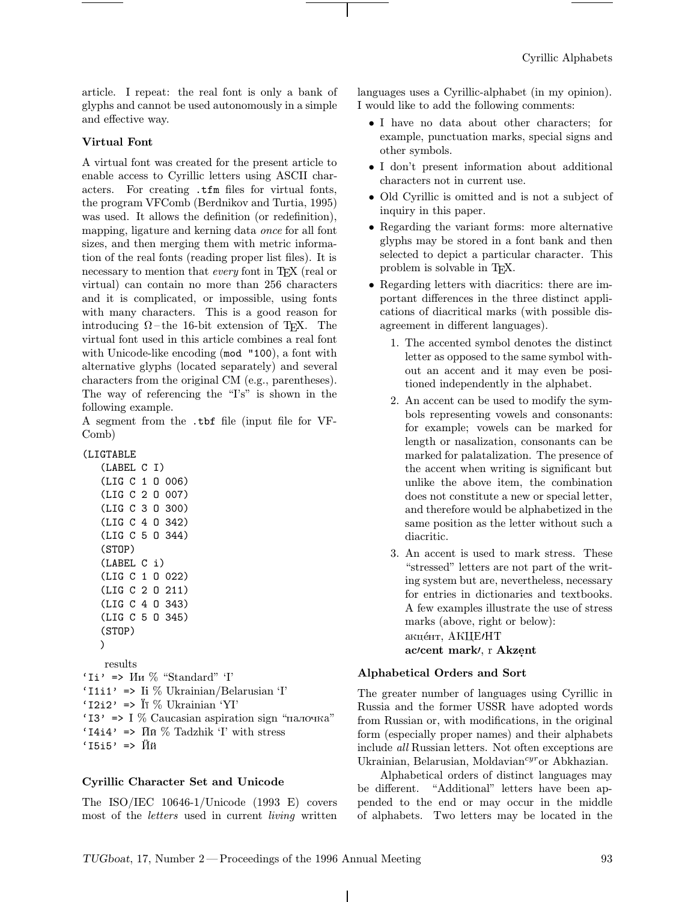article. I repeat: the real font is only a bank of glyphs and cannot be used autonomously in a simple and effective way.

# Virtual Font

A virtual font was created for the present article to enable access to Cyrillic letters using ASCII characters. For creating .tfm files for virtual fonts, the program VFComb (Berdnikov and Turtia, 1995) was used. It allows the definition (or redefinition), mapping, ligature and kerning data once for all font sizes, and then merging them with metric information of the real fonts (reading proper list files). It is necessary to mention that every font in TEX (real or virtual) can contain no more than 256 characters and it is complicated, or impossible, using fonts with many characters. This is a good reason for introducing  $\Omega$ –the 16-bit extension of T<sub>E</sub>X. The virtual font used in this article combines a real font with Unicode-like encoding (mod "100), a font with alternative glyphs (located separately) and several characters from the original CM (e.g., parentheses). The way of referencing the "I's" is shown in the following example.

A segment from the .tbf file (input file for VF-Comb)

#### (LIGTABLE

| (LABEL C        |                | I)  |        |
|-----------------|----------------|-----|--------|
| (LIG C 1        |                | - 0 | 006)   |
| (LIG C 2 O      |                |     | 007)   |
| (LIG C 3 0 300) |                |     |        |
| (LIG C 4 0 342) |                |     |        |
| (LIG C 5        |                |     | 0.344) |
| (STOP)          |                |     |        |
|                 |                |     |        |
| (LABEL C i)     |                |     |        |
| (LIG C 1 0 022) |                |     |        |
| (LIG C          |                |     | 20211  |
| (LIG C          | $\overline{4}$ |     | 0.343) |
| (LIG C 5        |                |     | 0.345) |
| (STOP)          |                |     |        |

results 'Ii' =>  $\text{M}_{\text{H}}$  % "Standard" 'I' 'I1i1' => Ii  $\%$  Ukrainian/Belarusian 'I' ' $I2i2' \Rightarrow \ddot{I} \%$  Ukrainian 'YI' 'I3'  $\Rightarrow$  I % Caucasian aspiration sign "палочка" 'I4i4' =>  $\bar{M}$  $\bar{n}$  % Tadzhik 'I' with stress  $'I5i5'$  =>  $\ddot{M}\ddot{n}$ 

# Cyrillic Character Set and Unicode

The ISO/IEC 10646-1/Unicode (1993 E) covers most of the letters used in current living written

languages uses a Cyrillic-alphabet (in my opinion). I would like to add the following comments:

- I have no data about other characters; for example, punctuation marks, special signs and other symbols.
- I don't present information about additional characters not in current use.
- Old Cyrillic is omitted and is not a subject of inquiry in this paper.
- Regarding the variant forms: more alternative glyphs may be stored in a font bank and then selected to depict a particular character. This problem is solvable in TEX.
- Regarding letters with diacritics: there are important differences in the three distinct applications of diacritical marks (with possible disagreement in different languages).
	- 1. The accented symbol denotes the distinct letter as opposed to the same symbol without an accent and it may even be positioned independently in the alphabet.
	- 2. An accent can be used to modify the symbols representing vowels and consonants: for example; vowels can be marked for length or nasalization, consonants can be marked for palatalization. The presence of the accent when writing is significant but unlike the above item, the combination does not constitute a new or special letter, and therefore would be alphabetized in the same position as the letter without such a diacritic.
	- 3. An accent is used to mark stress. These "stressed" letters are not part of the writing system but are, nevertheless, necessary for entries in dictionaries and textbooks. A few examples illustrate the use of stress marks (above, right or below): акце́нт, АКЦЕ/НТ ac/cent mark/, r Akzent

#### Alphabetical Orders and Sort

The greater number of languages using Cyrillic in Russia and the former USSR have adopted words from Russian or, with modifications, in the original form (especially proper names) and their alphabets include all Russian letters. Not often exceptions are Ukrainian, Belarusian, Moldavian<sup>cyr</sup>or Abkhazian.

Alphabetical orders of distinct languages may be different. "Additional" letters have been appended to the end or may occur in the middle of alphabets. Two letters may be located in the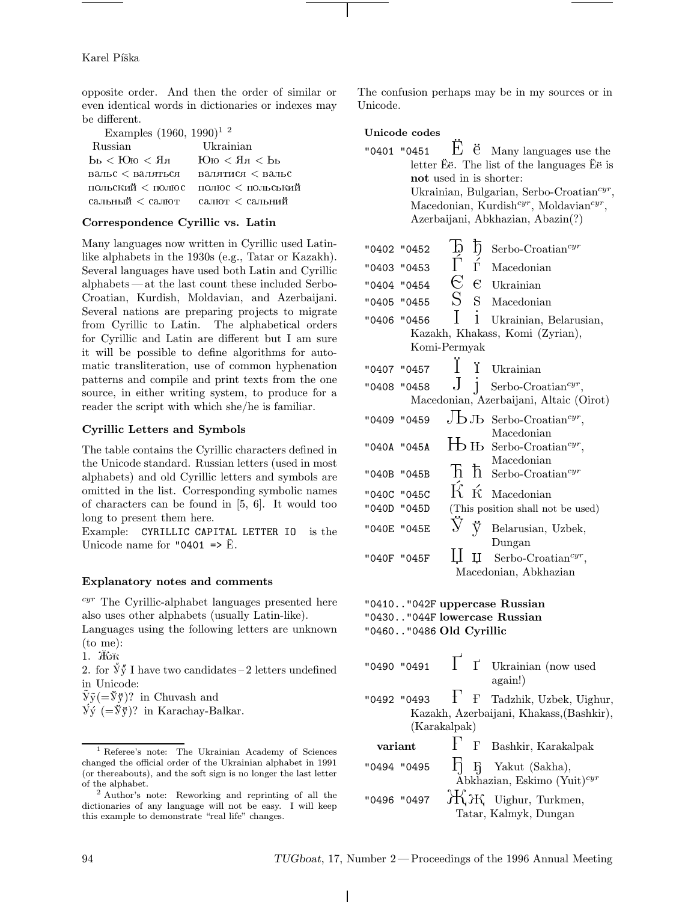#### Karel Píška

opposite order. And then the order of similar or even identical words in dictionaries or indexes may be different.

| Examples $(1960, 1990)^{1/2}$                                                                       |           |
|-----------------------------------------------------------------------------------------------------|-----------|
| Russian                                                                                             | Ukrainian |
| $L_{\rm bol}$ $>$ $R_{\rm CO}$ $>$ $R_{\rm B}$ $>$ $R_{\rm CO}$ $>$ $R_{\rm bol}$ $>$ $L_{\rm bol}$ |           |
| вальс < валяться валятися < вальс                                                                   |           |
| польский < полюс полюс < польський                                                                  |           |
| сальный < салют салют < сальний                                                                     |           |

#### Correspondence Cyrillic vs. Latin

Many languages now written in Cyrillic used Latinlike alphabets in the 1930s (e.g., Tatar or Kazakh). Several languages have used both Latin and Cyrillic alphabets —at the last count these included Serbo-Croatian, Kurdish, Moldavian, and Azerbaijani. Several nations are preparing projects to migrate from Cyrillic to Latin. The alphabetical orders for Cyrillic and Latin are different but I am sure it will be possible to define algorithms for automatic transliteration, use of common hyphenation patterns and compile and print texts from the one source, in either writing system, to produce for a reader the script with which she/he is familiar.

#### Cyrillic Letters and Symbols

The table contains the Cyrillic characters defined in the Unicode standard. Russian letters (used in most alphabets) and old Cyrillic letters and symbols are omitted in the list. Corresponding symbolic names of characters can be found in [5, 6]. It would too long to present them here.

Example: CYRILLIC CAPITAL LETTER IO is the Unicode name for "0401  $\Rightarrow$   $\ddot{E}$ .

#### Explanatory notes and comments

 $cyr$  The Cyrillic-alphabet languages presented here also uses other alphabets (usually Latin-like).

Languages using the following letters are unknown (to me):

1. ÁÂ

2. for  $\tilde{y} \tilde{y}$  I have two candidates – 2 letters undefined in Unicode:

 $\tilde{y}\tilde{y} (= \tilde{y}\tilde{y})$ ? in Chuvash and

 $\dot{V} \circ (= \dot{V} \circ)^?$  in Karachay-Balkar.

The confusion perhaps may be in my sources or in Unicode.

Unicode codes

| "0401 "0451 $E \ddot{e}$ Many languages use the                 |
|-----------------------------------------------------------------|
| letter $\ddot{E}$ e. The list of the languages $\ddot{E}$ e is  |
| not used in is shorter:                                         |
| Ukrainian, Bulgarian, Serbo-Croatian <sup>cyr</sup> ,           |
| Macedonian, Kurdish <sup>cyr</sup> , Moldavian <sup>cyr</sup> , |
| Azerbaijani, Abkhazian, Abazin(?)                               |
|                                                                 |

|             | "0402 "0452 |                              | ħ          | $Serbo-Croatiancyr$                                                                         |
|-------------|-------------|------------------------------|------------|---------------------------------------------------------------------------------------------|
|             |             | Б<br>Ѓ                       |            |                                                                                             |
|             | "0403 "0453 |                              | ŕ          | Macedonian                                                                                  |
|             | "0404 "0454 | $\in$                        | $\epsilon$ | Ukrainian                                                                                   |
|             | "0405 "0455 | $S_{-}$                      | $S_{-}$    | Macedonian                                                                                  |
|             | "0406 "0456 |                              | 1          | Ukrainian, Belarusian,                                                                      |
|             |             |                              |            | Kazakh, Khakass, Komi (Zyrian),                                                             |
|             |             | Komi-Permyak                 |            |                                                                                             |
| "0407 "0457 |             |                              |            | Ukrainian                                                                                   |
|             | "0408 "0458 |                              |            | Serbo-Croatian <sup>cyr</sup> ,                                                             |
|             |             |                              |            | Macedonian, Azerbaijani, Altaic (Oirot)                                                     |
|             | "0409 "0459 |                              |            | $\bigcup$ D Jb Serbo-Croatian <sup>cyr</sup> ,                                              |
| "040A "045A |             |                              |            | Macedonian<br>$\mathbf{\Box}$ B Serbo-Croatian <sup>cyr</sup> ,                             |
| "040B "045B |             |                              |            | Macedonian<br>$\overline{\mathrm{h}}$ $\overline{\mathrm{h}}$ Serbo-Croatian <sup>cyr</sup> |
|             | "040C "045C | $\acute{K}$ $\acute{\kappa}$ |            | Macedonian                                                                                  |
|             | "040D "045D |                              |            | (This position shall not be used)                                                           |
| "040E "045E |             |                              | Ÿ          | Belarusian, Uzbek,                                                                          |
|             | "040F "045F |                              |            | Dungan<br>$\mu$ Serbo-Croatian <sup>cyr</sup> ,<br>Macedonian, Abkhazian                    |
|             |             |                              |            |                                                                                             |

"0410.."042F uppercase Russian "0430.."044F lowercase Russian "0460.."0486 Old Cyrillic

- 
- "0490 "0491  $\Gamma$   $\Gamma$  Ukrainian (now used again!) "0492 "0493  $\Gamma$  F Tadzhik, Uzbek, Uighur,
- Kazakh, Azerbaijani, Khakass,(Bashkir), (Karakalpak)

# variant  $\begin{bmatrix} \cdot & \cdot & \cdot \\ \cdot & \cdot & \cdot \\ \cdot & \cdot & \cdot \end{bmatrix}$  Bashkir, Karakalpak "0494 "0495  $\overline{\eta}$   $\overline{\eta}$  Yakut (Sakha),

Abkhazian, Eskimo (Yuit) $cyr$ "0496 "0497  $H_1H_1$  Uighur, Turkmen, Tatar, Kalmyk, Dungan

<sup>&</sup>lt;sup>1</sup> Referee's note: The Ukrainian Academy of Sciences changed the official order of the Ukrainian alphabet in 1991 (or thereabouts), and the soft sign is no longer the last letter of the alphabet.

<sup>2</sup> Author's note: Reworking and reprinting of all the dictionaries of any language will not be easy. I will keep this example to demonstrate "real life" changes.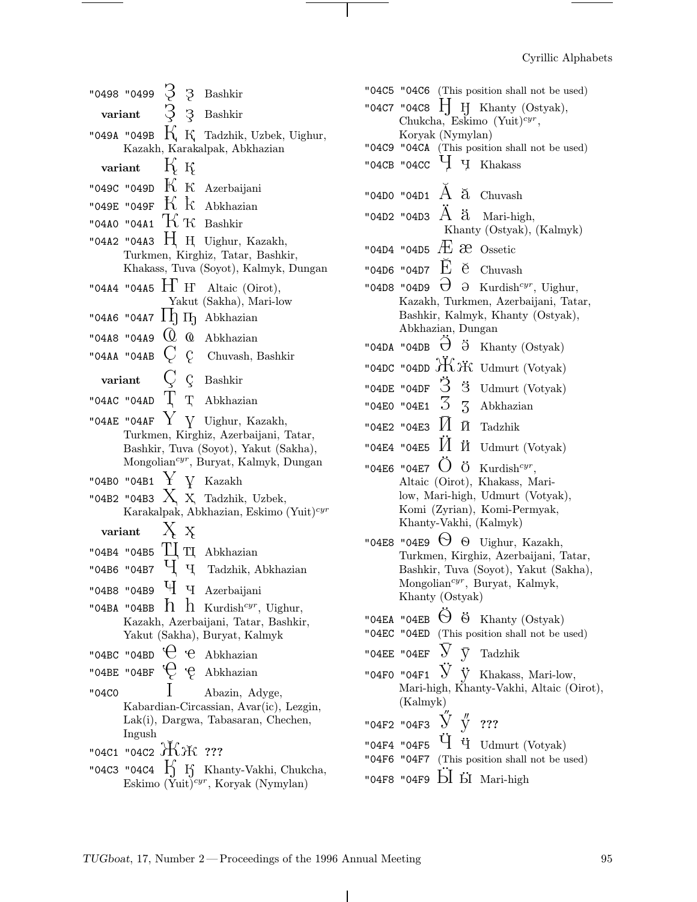$\overline{\phantom{a}}$ 

|                                       |                                                                               |            |  | "0498 "0499 ? 3 Bashkir                                                                                |  |  |  |
|---------------------------------------|-------------------------------------------------------------------------------|------------|--|--------------------------------------------------------------------------------------------------------|--|--|--|
| variant $\beta$ 3 Bashkir             |                                                                               |            |  |                                                                                                        |  |  |  |
|                                       |                                                                               |            |  | "049A "049B $K$ K Tadzhik, Uzbek, Uighur,                                                              |  |  |  |
| Kazakh, Karakalpak, Abkhazian         |                                                                               |            |  |                                                                                                        |  |  |  |
|                                       | variant $\overline{K}$ K                                                      |            |  |                                                                                                        |  |  |  |
|                                       |                                                                               |            |  | "049C "049D $\rm{K~K}$ Azerbaijani                                                                     |  |  |  |
|                                       |                                                                               |            |  | "049E "049F $\rm\,K~$ $\rm\,K~$ Abkhazian                                                              |  |  |  |
|                                       |                                                                               |            |  | "04A0 "04A1 $\rm\,K~K$ Bashkir                                                                         |  |  |  |
|                                       |                                                                               |            |  | "04A2 "04A3 $H$ H Uighur, Kazakh,                                                                      |  |  |  |
|                                       |                                                                               |            |  | Turkmen, Kirghiz, Tatar, Bashkir,                                                                      |  |  |  |
|                                       |                                                                               |            |  | Khakass, Tuva (Soyot), Kalmyk, Dungan                                                                  |  |  |  |
|                                       |                                                                               |            |  | "04A4 "04A5 $H$ <sup>'</sup> H <sup>'</sup> Altaic (Oirot),<br>Yakut (Sakha), Mari-low                 |  |  |  |
|                                       |                                                                               |            |  | "0446 "0447 $\Pi$ $\Pi$ Abkhazian                                                                      |  |  |  |
|                                       |                                                                               |            |  | "04A8 "04A9 $\overline{Q}$ $\overline{Q}$ Abkhazian                                                    |  |  |  |
|                                       |                                                                               |            |  | "04AA "04AB $\,C\,$ $\,$ C $\,$ Chuvash, Bashkir                                                       |  |  |  |
|                                       |                                                                               |            |  |                                                                                                        |  |  |  |
|                                       |                                                                               |            |  | variant $\bigcirc$ $\bigcirc$ Bashkir                                                                  |  |  |  |
|                                       |                                                                               |            |  | "04AC "04AD $\Gamma$ T Abkhazian                                                                       |  |  |  |
|                                       |                                                                               |            |  | "04AE "04AF $\rm{Y}$ Y Uighur, Kazakh,                                                                 |  |  |  |
| Turkmen, Kirghiz, Azerbaijani, Tatar, |                                                                               |            |  |                                                                                                        |  |  |  |
| Bashkir, Tuva (Soyot), Yakut (Sakha), |                                                                               |            |  |                                                                                                        |  |  |  |
|                                       |                                                                               |            |  |                                                                                                        |  |  |  |
|                                       |                                                                               |            |  | Mongolian <sup>cyr</sup> , Buryat, Kalmyk, Dungan                                                      |  |  |  |
|                                       |                                                                               |            |  | "04B0 "04B1 $\rm{Y}$ $\rm{V}$ Kazakh                                                                   |  |  |  |
|                                       |                                                                               |            |  | "04B2 "04B3 $X \times$ Tadzhik, Uzbek,<br>Karakalpak, Abkhazian, Eskimo (Yuit) <sup>cyr</sup>          |  |  |  |
| variant                               |                                                                               |            |  |                                                                                                        |  |  |  |
|                                       |                                                                               | $X \times$ |  |                                                                                                        |  |  |  |
|                                       |                                                                               |            |  | "04B4 "04B5 $\mathbb{H}$ TI Abkhazian                                                                  |  |  |  |
|                                       |                                                                               |            |  | "04B6 "04B7 $\mathbf{\dot{q}}$ $\mathbf{\dot{q}}$ Tadzhik, Abkhazian                                   |  |  |  |
|                                       |                                                                               |            |  | "04B8 "04B9 <sup>U</sup> I U <sub>I</sub> Azerbaijani                                                  |  |  |  |
|                                       |                                                                               |            |  | "04BA "04BB $\hbar$ $\hbar$ Kurdish <sup>cyr</sup> , Uighur,<br>Kazakh, Azerbaijani, Tatar, Bashkir,   |  |  |  |
|                                       |                                                                               |            |  | Yakut (Sakha), Buryat, Kalmyk                                                                          |  |  |  |
|                                       |                                                                               |            |  | "04BC "04BD $\theta$ $\theta$ Abkhazian                                                                |  |  |  |
|                                       |                                                                               |            |  | "04BE "04BF $\bigcirc$ $\phi$ Abkhazian                                                                |  |  |  |
| "04C0                                 |                                                                               |            |  | Abazin, Adyge,                                                                                         |  |  |  |
|                                       |                                                                               |            |  | Kabardian-Circassian, Avar(ic), Lezgin,                                                                |  |  |  |
|                                       |                                                                               |            |  | Lak(i), Dargwa, Tabasaran, Chechen,                                                                    |  |  |  |
|                                       | Ingush                                                                        |            |  |                                                                                                        |  |  |  |
|                                       | "04C1 "04C2 $\rm \mathcal{\rm \mathit{H}}$ $\rm \mathcal{\rm \mathit{H}}$ ??? |            |  | "04C3 "04C4 $\iint_S$ Khanty-Vakhi, Chukcha,<br>Eskimo (Yuit) <sup><i>cyr</i></sup> , Koryak (Nymylan) |  |  |  |

 $\overline{\phantom{a}}$ 

 $\sim$   $\sim$ 

| "04C5 "04C6 (This position shall not be used)                                      |
|------------------------------------------------------------------------------------|
| "04C7 "04C8 $\Box$ H Khanty (Ostyak),                                              |
| Chukcha, Eskimo (Yuit) <sup>cyr</sup> ,                                            |
| Koryak (Nymylan)                                                                   |
| "04C9 "04CA (This position shall not be used)                                      |
| "04CB "04CC $\,\,$ $\rm{H}$ $\,\,$ $\rm{H}$<br>Khakass                             |
| "04D0 "04D1 $\AA$ $\tilde{a}$ Chuvash                                              |
| "04D2 "04D3 $\rm A$ $\rm \ddot a$<br>Mari-high,<br>Khanty (Ostyak), (Kalmyk)       |
| "04D4 "04D5 $\overline{A}$ $\overline{C}$ Ossetic                                  |
|                                                                                    |
| "04D6 "04D7 $\overline{E}$ $\overline{e}$ Chuvash                                  |
| $\Theta^-$<br>"04D8 "04D9<br>$\Theta$ Kurdish <sup>cyr</sup> , Uighur,             |
| Kazakh, Turkmen, Azerbaijani, Tatar,                                               |
| Bashkir, Kalmyk, Khanty (Ostyak),<br>Abkhazian, Dungan                             |
| "04DA "04DB $\ddot{\theta}$<br>ä<br>Khanty (Ostyak)                                |
|                                                                                    |
| "04DC "04DD $\mathcal{H}$ $\ddot{\mathcal{H}}$ Udmurt (Votyak)                     |
| "04DE "04DF $\,$ $\rm \ddot{3}$<br>3 Udmurt (Votyak)                               |
| "04E0 "04E1 $\overline{3}$ $\overline{3}$ Abkhazian                                |
| "04E2 "04E3 $\textcolor{red}{H}$ $\textcolor{red}{\bar{\textbf{M}}}$ Tadzhik       |
| "04E4 "04E5 $\check{M}$<br>$\ensuremath{\textit{\^{II}}}\xspace$ Udmurt (Votyak)   |
| "04E6 "04E7 $\bullet$ Ö Kurdish <sup>cyr</sup> ,                                   |
| Altaic (Oirot), Khakass, Mari-                                                     |
| low, Mari-high, Udmurt (Votyak),<br>Komi (Zyrian), Komi-Permyak,                   |
| Khanty-Vakhi, (Kalmyk)                                                             |
|                                                                                    |
| "04E8 "04E9 $\Theta$<br>O Uighur, Kazakh,<br>Turkmen, Kirghiz, Azerbaijani, Tatar, |
| Bashkir, Tuva (Soyot), Yakut (Sakha),                                              |
| Mongolian <sup>cyr</sup> , Buryat, Kalmyk,                                         |
| Khanty (Ostyak)                                                                    |
| "04EA "04EB $\Theta$ $\Theta$ Khanty (Ostyak)                                      |
| "04EC "04ED (This position shall not be used)                                      |
| "04EE "04EF $\bigvee$ $\bigvee$ Tadzhik                                            |
| "04F0 "04F1 $\overline{V}$ $\dot{V}$ Khakass, Mari-low,                            |
| Mari-high, Khanty-Vakhi, Altaic (Oirot),                                           |
| (Kalmyk)                                                                           |
| "04F2 "04F3 $\stackrel{}{\text{y}}$ $\stackrel{''}{\text{y}}$ ???                  |
|                                                                                    |
| "04F4 "04F5 $\dot{q}$ $\ddot{q}$ Udmurt (Votyak)                                   |
| "04F6 "04F7 (This position shall not be used)                                      |
| "04F8 "04F9 bl bl Mari-high                                                        |

 $\top$ 

 $\mathbf{1}$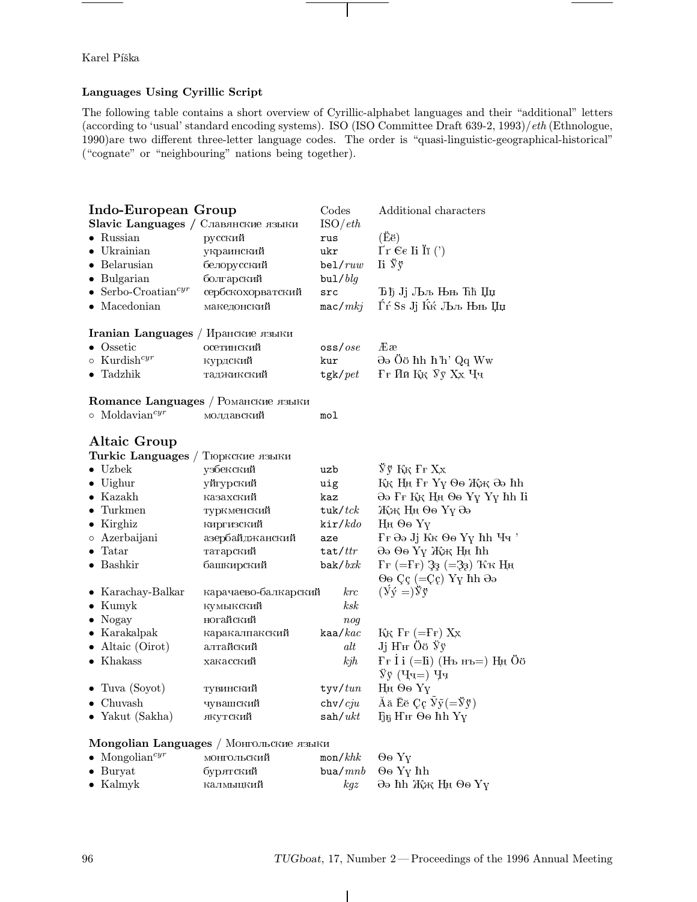Karel Píška

# Languages Using Cyrillic Script

The following table contains a short overview of Cyrillic-alphabet languages and their "additional" letters (according to 'usual' standard encoding systems). ISO (ISO Committee Draft  $639-2$ ,  $1993$ )/eth (Ethnologue, 1990) are two different three-letter language codes. The order is "quasi-linguistic-geographical-historical" ("cognate" or "neighbouring" nations being together).

| Indo-European Group                 |                                         | Codes                           | Additional characters                                       |  |  |  |
|-------------------------------------|-----------------------------------------|---------------------------------|-------------------------------------------------------------|--|--|--|
| Slavic Languages / Славянские языки |                                         | ISO/eth                         |                                                             |  |  |  |
| $\bullet$ Russian                   | русский                                 | rus                             | (Ee)                                                        |  |  |  |
| $\bullet$ Ukrainian                 | украинский                              | ukr                             | $\Gamma r$ $\in$ Ii Iï (')                                  |  |  |  |
| $\bullet\,$ Belarusian              | белорусский                             | be1/ruw                         | $\mathrm{I}i \, \mathrm{y} \, \mathrm{y}$                   |  |  |  |
| $\bullet$ Bulgarian                 | болгарский                              | $bul/$ <i>blg</i>               |                                                             |  |  |  |
| • Serbo-Croatian <sup>cyr</sup>     | сербскохорватский                       | src                             | Ђђ Јј Љљ Њњ Ћћ Џџ                                           |  |  |  |
| $\bullet$ Macedonian                | македонский                             | mac/mkj                         | Ѓѓ Ss Jj Ќќ Љљ Њњ Џџ                                        |  |  |  |
| Iranian Languages / Иранские языки  |                                         |                                 |                                                             |  |  |  |
| $\bullet$ Ossetic                   | осетинский                              | $\cos$ ss/ $ose$                | Ææ                                                          |  |  |  |
| $\circ~$ Kurdish $^{cyr}$           | курдский                                | kur                             | ∂∂ Öö hh h'h' Qq Ww                                         |  |  |  |
| $\bullet$ Tadzhik                   | таджикский                              | tgk/pet                         | Ғғ Ий Ққ Уу Хх Чч                                           |  |  |  |
| Romance Languages / Романские языки |                                         |                                 |                                                             |  |  |  |
| $\circ$ Moldavian <sup>cyr</sup>    | молдавский                              | mol                             |                                                             |  |  |  |
| Altaic Group                        |                                         |                                 |                                                             |  |  |  |
| Turkic Languages /                  | Тюркские языки                          |                                 |                                                             |  |  |  |
| $\bullet$ Uzbek                     | узбекский                               | uzb                             | Ўў Ққ Ғғ Ҳх                                                 |  |  |  |
| $\bullet$ Uighur                    | уйгурский                               | uig                             | $K_K$ Н<br>ң $F_F$ Үү $\Theta$ ө $K_K$ Әә $hh$              |  |  |  |
| $\bullet$ Kazakh                    | казахский                               | kaz                             | Әә Ғғ Ққ Ңң Өө Ұұ Үү hh Ii                                  |  |  |  |
| $\bullet$ Turkmen                   | туркменский                             | $t$ uk/ $t$ c $k$               | Жж Нд Өө Үү Әә                                              |  |  |  |
| $\bullet$ Kirghiz                   | киргизский                              | kir/kdo                         | Нн Өө Үү                                                    |  |  |  |
| o Azerbaijani                       | азербайджанский                         | aze                             | Fr Әә Jj Кк Өө Үү hh Чч'                                    |  |  |  |
| $\bullet$ Tatar                     | татарский                               | tat/tr                          | Әә Өө Үү Жж Ңн hh                                           |  |  |  |
| $\bullet$ Bashkir                   | башкирский                              | bak/bxk                         | $\Gamma$ F (=FF) 33 (=33) $\rm K\bar{\rm K}$ H <sub>H</sub> |  |  |  |
|                                     |                                         |                                 | $\Theta$ o Çç (=Çç) Yy hh $\Theta$ ə                        |  |  |  |
| $\bullet$ Karachay-Balkar           | карачаево-балкарский                    | krc                             | $(\dot{y} \dot{y} =) \ddot{y} \dot{y}$                      |  |  |  |
| $\bullet$ Kumyk                     | кумыкский                               | $\mathit{ksk}$                  |                                                             |  |  |  |
| $\bullet$ Nogay                     | ногайский                               | nog                             |                                                             |  |  |  |
| $\bullet$ Karakalpak                | каракалпакский                          | kaa/kac                         | $K_K$ $\Gamma_F$ (= $\Gamma_F$ ) $X_X$                      |  |  |  |
| $\bullet$ Altaic (Oirot)            | алтайский                               | alt                             | Jj H <sup>H</sup> Öö Ÿÿ                                     |  |  |  |
| $\bullet$ Khakass                   | хакасский                               | kjh                             | $F_F$ I і (=Ii) (Нъ нъ=) Ңң Öö<br>$\ddot{y}$ у (Чч=) Чч     |  |  |  |
| $\bullet$ Tuva (Soyot)              | тувинский                               | tyv/tun                         | Нң Өө Үү                                                    |  |  |  |
| $\bullet~$ Chuvash                  | чувашский                               | $\frac{\text{chv}}{\text{c}ju}$ | Ăă Ĕĕ Çç $\tilde{y}(\tilde{y})$                             |  |  |  |
| $\bullet$ Yakut (Sakha)             | якутский                                | $\sin(\omega t)$                | Б5 Нн Өө hh Yү                                              |  |  |  |
|                                     | Mongolian Languages / Монгольские языки |                                 |                                                             |  |  |  |

| <b>Executive company of the component of the second computer</b> |             |                                          |                                     |  |  |  |  |  |
|------------------------------------------------------------------|-------------|------------------------------------------|-------------------------------------|--|--|--|--|--|
| $\bullet$ Mongolian <sup>cyr</sup>                               | монгольский | $\text{mon}/khk$ $\Theta$ o $\text{Y}_V$ |                                     |  |  |  |  |  |
| $\bullet$ Burvat                                                 | бурятский   |                                          | bua/ $mnb$ $\Theta$ o Y $\gamma$ hh |  |  |  |  |  |
| $\bullet$ Kalmyk                                                 | калмыцкий   | $k$ q $z$                                | – Әә hh Жж Ңң Өө Үү                 |  |  |  |  |  |

 $\overline{\phantom{a}}$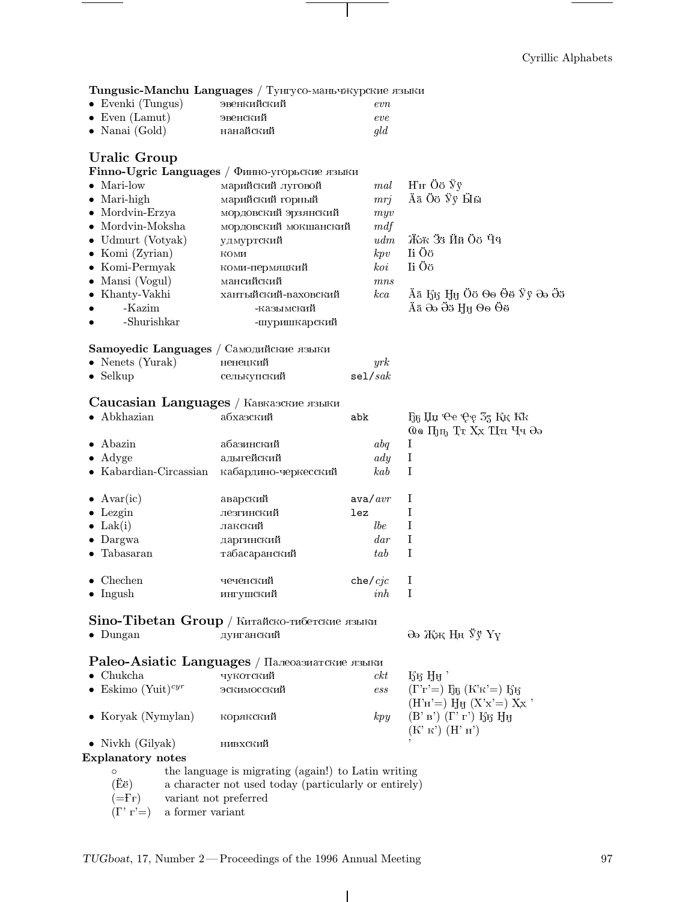# Cyrillic Alphabets

| <b>Tungusic-Manchu Languages</b> / Тунгусо-маньчжурские языки |             |     |  |  |  |  |
|---------------------------------------------------------------|-------------|-----|--|--|--|--|
| $\bullet$ Evenki (Tungus)                                     | эвенкийский | evn |  |  |  |  |
| $\bullet$ Even (Lamut)                                        | эвенский    | eve |  |  |  |  |
| $\bullet$ Nanai (Gold)                                        | нанайский   | gld |  |  |  |  |
|                                                               |             |     |  |  |  |  |

 $\mathbf{I}$ 

# **Uralic Group**

|                                         | Finno-Ugric Languages / $\Phi$ инно-угорьские языки |                   |        |                                                                                 |
|-----------------------------------------|-----------------------------------------------------|-------------------|--------|---------------------------------------------------------------------------------|
| $\bullet$ Mari-low                      | марийский луговой                                   |                   | mal    | $HH$ Öö $\ddot{y}$ y                                                            |
| $\bullet$ Mari-high                     | марийский горный                                    |                   | mrj    | Ää Öö Ÿÿ Ӹӹ                                                                     |
| $\bullet$ Mordvin-Erzya                 | мордовский эрзянский                                |                   | myv    |                                                                                 |
| $\bullet \,$ Mordvin-Moksha             | мордовский мокшанский                               |                   | mdf    |                                                                                 |
| $\bullet$ Udmurt (Votyak)               | удмуртский                                          |                   | udm    | Жж Зз Йй Об Чч                                                                  |
| $\bullet$ Komi (Zyrian)                 | коми                                                |                   | kpv    | Ii Öö                                                                           |
| $\bullet$ Komi-Permyak                  | коми-пермяцкий                                      |                   | koi    | Ii Öö                                                                           |
| $\bullet$ Mansi (Vogul)                 | мансийский                                          |                   | mns    |                                                                                 |
| $\bullet$ Khanty-Vakhi                  | хантыйский-ваховский                                |                   | kca    | Ää Ӄӄ Ӈӈ Öö Ѳѳ Ӫӫ Ӱӱ Әә Ӛӭ                                                      |
| -Kazim                                  | -казымский                                          |                   |        | Ää Əə Öö Hӈ Ѳѳ Ӫӫ                                                               |
| -Shurishkar                             | -шуришкарский                                       |                   |        |                                                                                 |
| Samoyedic Languages / Самодийские языки |                                                     |                   |        |                                                                                 |
| • Nenets (Yurak)                        | ненецкий                                            |                   | yrk    |                                                                                 |
| $\bullet$ Selkup                        | селькупский                                         | se1/sak           |        |                                                                                 |
|                                         | Caucasian Languages / Кавказские языки              |                   |        |                                                                                 |
| $\bullet$ Abkhazian                     | абхазский                                           | abk               |        | Ҕҕ Џџ Ҽе Ҿҿ Ӡӡ Ққ Ҟҟ                                                            |
|                                         |                                                     |                   |        | 00 Пуп, Тт Хх Ци Чч Әә                                                          |
| Abazin                                  | абазинский                                          |                   | abq    | $\bf I$                                                                         |
| $\bullet$ Adyge                         | адыгейский                                          |                   | ady    | $\bf I$                                                                         |
| $\bullet$ Kabardian-Circassian          | кабардино-черкесский                                |                   | kab    | I                                                                               |
| $\bullet$ Avar(ic)                      | аварский                                            | $\frac{1}{2}$ ava |        | $\bf{I}$                                                                        |
| $\bullet$ Lezgin                        | лезгинский                                          | lez               |        | I                                                                               |
| $\bullet$ Lak(i)                        | лакский                                             |                   | lbe    | I                                                                               |
| $\bullet$ Dargwa                        | даргинский                                          |                   | $d$ ar | I                                                                               |
| $\bullet$ Tabasaran                     | табасаранский                                       |                   | tab    | $\mathbf I$                                                                     |
| $\bullet$ Chechen                       | чеченский                                           | che/cjc           |        | $\bf{I}$                                                                        |
| $\bullet$ Ingush                        | ингушский                                           |                   | inh    | I                                                                               |
|                                         | Sino-Tibetan Group / Китайско-тибетские языки       |                   |        |                                                                                 |
| $\bullet$ Dungan                        | дунганский                                          |                   |        | Әә Жж Ңң Ўў Үү                                                                  |
|                                         | Paleo-Asiatic Languages / Палеоазиатские языки      |                   |        |                                                                                 |
| $\bullet$ Chukcha                       | чукотский                                           |                   | ckt    | $E_5$ H <sub>H</sub>                                                            |
| • Eskimo (Yuit) <sup>cyr</sup>          | эскимосский                                         |                   | ess    | $(\Gamma \Gamma) =$ ) $F_{\mathfrak{h}}(K \mathfrak{K}) =$ ) $F_{\mathfrak{h}}$ |
|                                         |                                                     |                   |        | $(H'H') = HH (X'X') = XX'$                                                      |
| $\bullet$ Koryak (Nymylan)              | корякский                                           |                   | kpy    | $(B' B') (\Gamma' r')$ Қ $f$ Н<br>(K' K') (H' H')                               |
| $\bullet$ Nivkh (Gilyak)                | нивхский                                            |                   |        |                                                                                 |
| <b>Explanatory notes</b>                |                                                     |                   |        |                                                                                 |
| $\circ$                                 | the language is migrating (again!) to Latin writing |                   |        |                                                                                 |

- the language is migrating (again!) to Latin writing<br>a character not used today (particularly or entirely)  $(Ee)$
- $(=\!\!\mathrm{F}\!\!\mathrm{F})$  $% \left\vert \left( \mathbf{q}\right) \right\vert$  variant not preferred
- $(\Gamma\dot{r} =)$  $\,$  a former variant

 $\mathbf{I}$